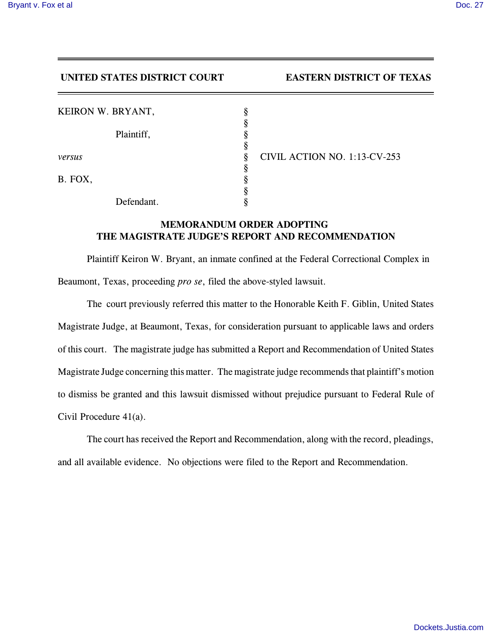## **UNITED STATES DISTRICT COURT EASTERN DISTRICT OF TEXAS**

| KEIRON W. BRYANT, |                                   |
|-------------------|-----------------------------------|
|                   |                                   |
| Plaintiff,        |                                   |
|                   |                                   |
| versus            | CIVIL ACTION NO. 1:13-CV-253<br>8 |
|                   |                                   |
| B. FOX,           |                                   |
|                   |                                   |
| Defendant.        |                                   |

## **MEMORANDUM ORDER ADOPTING THE MAGISTRATE JUDGE'S REPORT AND RECOMMENDATION**

Plaintiff Keiron W. Bryant, an inmate confined at the Federal Correctional Complex in Beaumont, Texas, proceeding *pro se*, filed the above-styled lawsuit.

The court previously referred this matter to the Honorable Keith F. Giblin, United States Magistrate Judge, at Beaumont, Texas, for consideration pursuant to applicable laws and orders of this court. The magistrate judge has submitted a Report and Recommendation of United States Magistrate Judge concerning this matter. The magistrate judge recommends that plaintiff's motion to dismiss be granted and this lawsuit dismissed without prejudice pursuant to Federal Rule of Civil Procedure 41(a).

The court has received the Report and Recommendation, along with the record, pleadings, and all available evidence. No objections were filed to the Report and Recommendation.